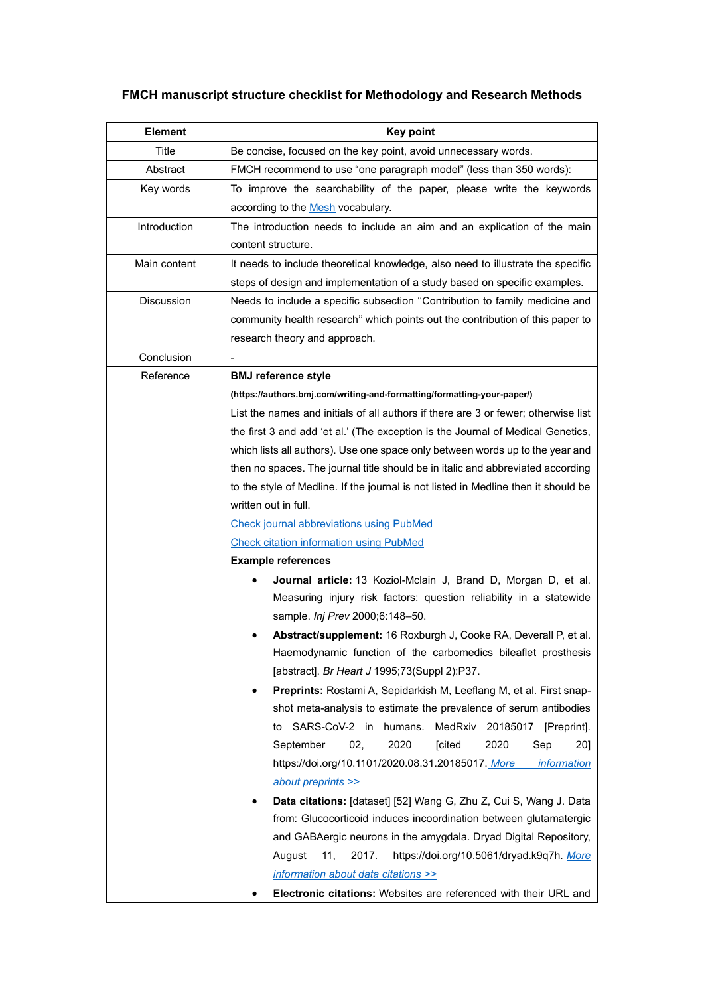## **FMCH manuscript structure checklist for Methodology and Research Methods**

| <b>Element</b>    | <b>Key point</b>                                                                   |  |  |
|-------------------|------------------------------------------------------------------------------------|--|--|
| Title             | Be concise, focused on the key point, avoid unnecessary words.                     |  |  |
| Abstract          | FMCH recommend to use "one paragraph model" (less than 350 words):                 |  |  |
| Key words         | To improve the searchability of the paper, please write the keywords               |  |  |
|                   | according to the Mesh vocabulary.                                                  |  |  |
| Introduction      | The introduction needs to include an aim and an explication of the main            |  |  |
|                   | content structure.                                                                 |  |  |
| Main content      | It needs to include theoretical knowledge, also need to illustrate the specific    |  |  |
|                   | steps of design and implementation of a study based on specific examples.          |  |  |
| <b>Discussion</b> | Needs to include a specific subsection "Contribution to family medicine and        |  |  |
|                   | community health research" which points out the contribution of this paper to      |  |  |
|                   | research theory and approach.                                                      |  |  |
| Conclusion        |                                                                                    |  |  |
| Reference         | <b>BMJ</b> reference style                                                         |  |  |
|                   | (https://authors.bmj.com/writing-and-formatting/formatting-your-paper/)            |  |  |
|                   | List the names and initials of all authors if there are 3 or fewer; otherwise list |  |  |
|                   | the first 3 and add 'et al.' (The exception is the Journal of Medical Genetics,    |  |  |
|                   | which lists all authors). Use one space only between words up to the year and      |  |  |
|                   | then no spaces. The journal title should be in italic and abbreviated according    |  |  |
|                   | to the style of Medline. If the journal is not listed in Medline then it should be |  |  |
|                   | written out in full.                                                               |  |  |
|                   | <b>Check journal abbreviations using PubMed</b>                                    |  |  |
|                   | <b>Check citation information using PubMed</b>                                     |  |  |
|                   | <b>Example references</b>                                                          |  |  |
|                   | Journal article: 13 Koziol-Mclain J, Brand D, Morgan D, et al.                     |  |  |
|                   | Measuring injury risk factors: question reliability in a statewide                 |  |  |
|                   | sample. Inj Prev 2000;6:148-50.                                                    |  |  |
|                   | Abstract/supplement: 16 Roxburgh J, Cooke RA, Deverall P, et al.                   |  |  |
|                   | Haemodynamic function of the carbomedics bileaflet prosthesis                      |  |  |
|                   | [abstract]. Br Heart J 1995;73(Suppl 2):P37.                                       |  |  |
|                   | Preprints: Rostami A, Sepidarkish M, Leeflang M, et al. First snap-                |  |  |
|                   | shot meta-analysis to estimate the prevalence of serum antibodies                  |  |  |
|                   | SARS-CoV-2 in humans.<br>MedRxiv<br>20185017<br>[Preprint].<br>to                  |  |  |
|                   | September<br>02,<br>2020<br>[cited<br>2020<br>Sep<br>20]                           |  |  |
|                   | https://doi.org/10.1101/2020.08.31.20185017. More<br><i>information</i>            |  |  |
|                   | about preprints >>                                                                 |  |  |
|                   | Data citations: [dataset] [52] Wang G, Zhu Z, Cui S, Wang J. Data                  |  |  |
|                   | from: Glucocorticoid induces incoordination between glutamatergic                  |  |  |
|                   | and GABAergic neurons in the amygdala. Dryad Digital Repository,                   |  |  |
|                   | https://doi.org/10.5061/dryad.k9q7h. More<br>August<br>11,<br>2017.                |  |  |
|                   | information about data citations >>                                                |  |  |
|                   | Electronic citations: Websites are referenced with their URL and                   |  |  |